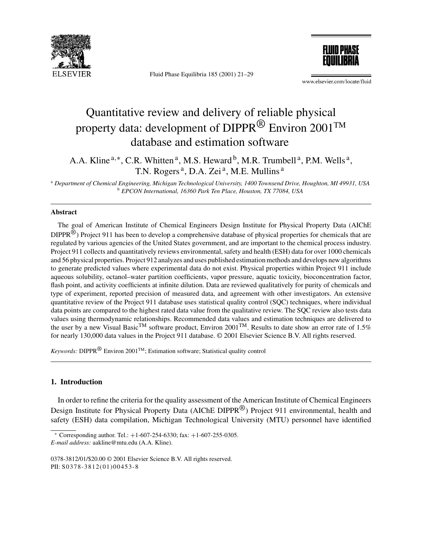

Fluid Phase Equilibria 185 (2001) 21–29



www.elsevier.com/locate/fluid

# Quantitative review and delivery of reliable physical property data: development of DIPPR<sup>®</sup> Environ 2001<sup>TM</sup> database and estimation software

A.A. Kline<sup>a,\*</sup>, C.R. Whitten<sup>a</sup>, M.S. Heward<sup>b</sup>, M.R. Trumbell<sup>a</sup>, P.M. Wells<sup>a</sup>, T.N. Rogers<sup>a</sup>, D.A. Zei<sup>a</sup>, M.E. Mullins<sup>a</sup>

<sup>a</sup> *Department of Chemical Engineering, Michigan Technological University, 1400 Townsend Drive, Houghton, MI 49931, USA* <sup>b</sup> *EPCON International, 16360 Park Ten Place, Houston, TX 77084, USA*

#### **Abstract**

The goal of American Institute of Chemical Engineers Design Institute for Physical Property Data (AIChE  $DIPPR^{\textcircled{\tiny{\text{B}}}}$ ) Project 911 has been to develop a comprehensive database of physical properties for chemicals that are regulated by various agencies of the United States government, and are important to the chemical process industry. Project 911 collects and quantitatively reviews environmental, safety and health (ESH) data for over 1000 chemicals and 56 physical properties. Project 912 analyzes and uses published estimation methods and develops new algorithms to generate predicted values where experimental data do not exist. Physical properties within Project 911 include aqueous solubility, octanol–water partition coefficients, vapor pressure, aquatic toxicity, bioconcentration factor, flash point, and activity coefficients at infinite dilution. Data are reviewed qualitatively for purity of chemicals and type of experiment, reported precision of measured data, and agreement with other investigators. An extensive quantitative review of the Project 911 database uses statistical quality control (SQC) techniques, where individual data points are compared to the highest rated data value from the qualitative review. The SQC review also tests data values using thermodynamic relationships. Recommended data values and estimation techniques are delivered to the user by a new Visual Basic<sup>TM</sup> software product, Environ 2001<sup>TM</sup>. Results to date show an error rate of 1.5% for nearly 130,000 data values in the Project 911 database. © 2001 Elsevier Science B.V. All rights reserved.

*Keywords:* DIPPR® Environ 2001TM; Estimation software; Statistical quality control

# **1. Introduction**

In order to refine the criteria for the quality assessment of the American Institute of Chemical Engineers Design Institute for Physical Property Data (AIChE DIPPR<sup>®</sup>) Project 911 environmental, health and safety (ESH) data compilation, Michigan Technological University (MTU) personnel have identified

 $\overline{\text{*}$  Corresponding author. Tel.: +1-607-254-6330; fax: +1-607-255-0305. *E-mail address:* aakline@mtu.edu (A.A. Kline).

<sup>0378-3812/01/\$20.00 © 2001</sup> Elsevier Science B.V. All rights reserved. PII: S0378-3812(01)00453-8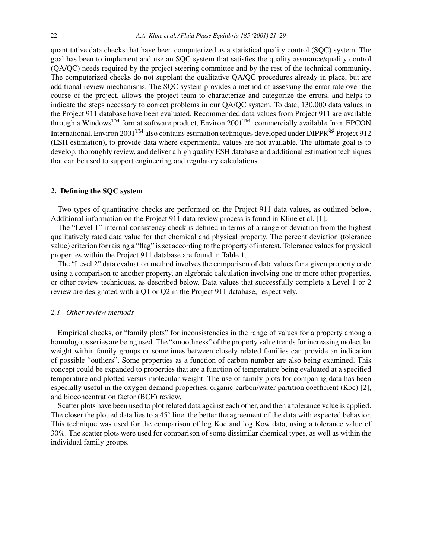quantitative data checks that have been computerized as a statistical quality control (SQC) system. The goal has been to implement and use an SQC system that satisfies the quality assurance/quality control (QA/QC) needs required by the project steering committee and by the rest of the technical community. The computerized checks do not supplant the qualitative QA/QC procedures already in place, but are additional review mechanisms. The SQC system provides a method of assessing the error rate over the course of the project, allows the project team to characterize and categorize the errors, and helps to indicate the steps necessary to correct problems in our QA/QC system. To date, 130,000 data values in the Project 911 database have been evaluated. Recommended data values from Project 911 are available through a WindowsTM format software product, Environ 2001TM, commercially available from EPCON International. Environ 2001<sup>TM</sup> also contains estimation techniques developed under DIPPR<sup>®</sup> Project 912 (ESH estimation), to provide data where experimental values are not available. The ultimate goal is to develop, thoroughly review, and deliver a high quality ESH database and additional estimation techniques that can be used to support engineering and regulatory calculations.

### **2. Defining the SQC system**

Two types of quantitative checks are performed on the Project 911 data values, as outlined below. Additional information on the Project 911 data review process is found in Kline et al. [1].

The "Level 1" internal consistency check is defined in terms of a range of deviation from the highest qualitatively rated data value for that chemical and physical property. The percent deviation (tolerance value) criterion for raising a "flag" is set according to the property of interest. Tolerance values for physical properties within the Project 911 database are found in Table 1.

The "Level 2" data evaluation method involves the comparison of data values for a given property code using a comparison to another property, an algebraic calculation involving one or more other properties, or other review techniques, as described below. Data values that successfully complete a Level 1 or 2 review are designated with a Q1 or Q2 in the Project 911 database, respectively.

#### *2.1. Other review methods*

Empirical checks, or "family plots" for inconsistencies in the range of values for a property among a homologous series are being used. The "smoothness" of the property value trends for increasing molecular weight within family groups or sometimes between closely related families can provide an indication of possible "outliers". Some properties as a function of carbon number are also being examined. This concept could be expanded to properties that are a function of temperature being evaluated at a specified temperature and plotted versus molecular weight. The use of family plots for comparing data has been especially useful in the oxygen demand properties, organic-carbon/water partition coefficient (Koc) [2], and bioconcentration factor (BCF) review.

Scatter plots have been used to plot related data against each other, and then a tolerance value is applied. The closer the plotted data lies to a 45◦ line, the better the agreement of the data with expected behavior. This technique was used for the comparison of log Koc and log Kow data, using a tolerance value of 30%. The scatter plots were used for comparison of some dissimilar chemical types, as well as within the individual family groups.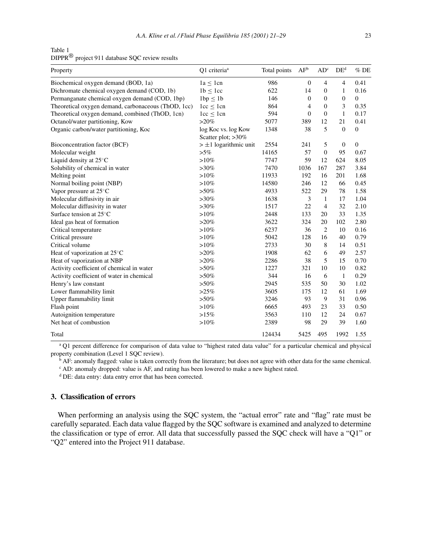Table 1 DIPPR® project 911 database SQC review results

| Property                                            | Q1 criteria <sup>a</sup>                  | Total points | AF <sup>b</sup> | AD <sup>c</sup> | DE <sup>d</sup>  | $%$ DE         |
|-----------------------------------------------------|-------------------------------------------|--------------|-----------------|-----------------|------------------|----------------|
| Biochemical oxygen demand (BOD, 1a)                 | $1a \leq 1cn$                             | 986          | $\mathbf{0}$    | 4               | $\overline{4}$   | 0.41           |
| Dichromate chemical oxygen demand (COD, 1b)         | $1b \leq 1cc$                             | 622          | 14              | $\mathbf{0}$    | $\mathbf{1}$     | 0.16           |
| Permanganate chemical oxygen demand (COD, 1bp)      | 1bp < 1b                                  | 146          | $\mathbf{0}$    | $\mathbf{0}$    | $\boldsymbol{0}$ | $\overline{0}$ |
| Theoretical oxygen demand, carbonaceous (ThOD, 1cc) | $1cc \leq 1cn$                            | 864          | $\overline{4}$  | $\mathbf{0}$    | 3                | 0.35           |
| Theoretical oxygen demand, combined (ThOD, 1cn)     | 1cc < 1cn                                 | 594          | $\mathbf{0}$    | $\mathbf{0}$    | $\mathbf{1}$     | 0.17           |
| Octanol/water partitioning, Kow                     | $>20\%$                                   | 5077         | 389             | 12              | 21               | 0.41           |
| Organic carbon/water partitioning, Koc              | log Koc vs. log Kow<br>Scatter plot; >30% | 1348         | 38              | 5               | $\overline{0}$   | $\overline{0}$ |
| Bioconcentration factor (BCF)                       | $> \pm 1$ logarithmic unit                | 2554         | 241             | 5               | $\boldsymbol{0}$ | $\overline{0}$ |
| Molecular weight                                    | $>5\%$                                    | 14165        | 57              | $\mathbf{0}$    | 95               | 0.67           |
| Liquid density at 25°C                              | $>10\%$                                   | 7747         | 59              | 12              | 624              | 8.05           |
| Solubility of chemical in water                     | $>30\%$                                   | 7470         | 1036            | 167             | 287              | 3.84           |
| Melting point                                       | $>10\%$                                   | 11933        | 192             | 16              | 201              | 1.68           |
| Normal boiling point (NBP)                          | $>10\%$                                   | 14580        | 246             | 12              | 66               | 0.45           |
| Vapor pressure at $25^{\circ}$ C                    | $>50\%$                                   | 4933         | 522             | 29              | 78               | 1.58           |
| Molecular diffusivity in air                        | $>30\%$                                   | 1638         | 3               | $\mathbf{1}$    | 17               | 1.04           |
| Molecular diffusivity in water                      | $>30\%$                                   | 1517         | 22              | $\overline{4}$  | 32               | 2.10           |
| Surface tension at 25°C                             | $>10\%$                                   | 2448         | 133             | 20              | 33               | 1.35           |
| Ideal gas heat of formation                         | $>20\%$                                   | 3622         | 324             | 20              | 102              | 2.80           |
| Critical temperature                                | $>10\%$                                   | 6237         | 36              | $\overline{2}$  | 10               | 0.16           |
| Critical pressure                                   | $>10\%$                                   | 5042         | 128             | 16              | 40               | 0.79           |
| Critical volume                                     | $>10\%$                                   | 2733         | 30              | 8               | 14               | 0.51           |
| Heat of vaporization at 25°C                        | $>20\%$                                   | 1908         | 62              | 6               | 49               | 2.57           |
| Heat of vaporization at NBP                         | $>20\%$                                   | 2286         | 38              | 5               | 15               | 0.70           |
| Activity coefficient of chemical in water           | $>50\%$                                   | 1227         | 321             | 10              | 10               | 0.82           |
| Activity coefficient of water in chemical           | $> 50\%$                                  | 344          | 16              | 6               | $\mathbf{1}$     | 0.29           |
| Henry's law constant                                | $>50\%$                                   | 2945         | 535             | 50              | 30               | 1.02           |
| Lower flammability limit                            | >25%                                      | 3605         | 175             | 12              | 61               | 1.69           |
| Upper flammability limit                            | $>50\%$                                   | 3246         | 93              | 9               | 31               | 0.96           |
| Flash point                                         | $>10\%$                                   | 6665         | 493             | 23              | 33               | 0.50           |
| Autoignition temperature                            | $>15\%$                                   | 3563         | 110             | 12              | 24               | 0.67           |
| Net heat of combustion                              | $>10\%$                                   | 2389         | 98              | 29              | 39               | 1.60           |
| Total                                               |                                           | 124434       | 5425            | 495             | 1992             | 1.55           |

<sup>a</sup> Q1 percent difference for comparison of data value to "highest rated data value" for a particular chemical and physical property combination (Level 1 SQC review).

b AF: anomaly flagged: value is taken correctly from the literature; but does not agree with other data for the same chemical.

<sup>c</sup> AD: anomaly dropped: value is AF, and rating has been lowered to make a new highest rated.

<sup>d</sup> DE: data entry: data entry error that has been corrected.

# **3. Classification of errors**

When performing an analysis using the SQC system, the "actual error" rate and "flag" rate must be carefully separated. Each data value flagged by the SQC software is examined and analyzed to determine the classification or type of error. All data that successfully passed the SQC check will have a "Q1" or "Q2" entered into the Project 911 database.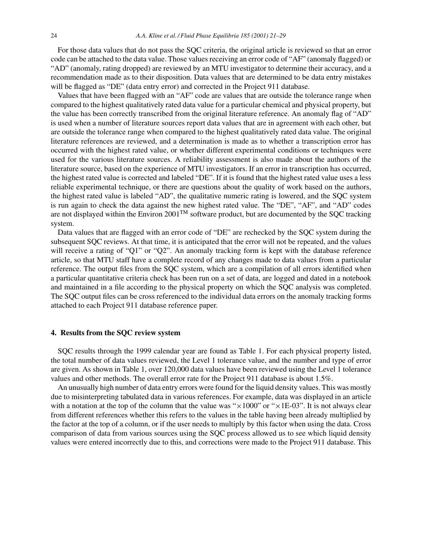For those data values that do not pass the SQC criteria, the original article is reviewed so that an error code can be attached to the data value. Those values receiving an error code of "AF" (anomaly flagged) or "AD" (anomaly, rating dropped) are reviewed by an MTU investigator to determine their accuracy, and a recommendation made as to their disposition. Data values that are determined to be data entry mistakes will be flagged as "DE" (data entry error) and corrected in the Project 911 database.

Values that have been flagged with an "AF" code are values that are outside the tolerance range when compared to the highest qualitatively rated data value for a particular chemical and physical property, but the value has been correctly transcribed from the original literature reference. An anomaly flag of "AD" is used when a number of literature sources report data values that are in agreement with each other, but are outside the tolerance range when compared to the highest qualitatively rated data value. The original literature references are reviewed, and a determination is made as to whether a transcription error has occurred with the highest rated value, or whether different experimental conditions or techniques were used for the various literature sources. A reliability assessment is also made about the authors of the literature source, based on the experience of MTU investigators. If an error in transcription has occurred, the highest rated value is corrected and labeled "DE". If it is found that the highest rated value uses a less reliable experimental technique, or there are questions about the quality of work based on the authors, the highest rated value is labeled "AD", the qualitative numeric rating is lowered, and the SQC system is run again to check the data against the new highest rated value. The "DE", "AF", and "AD" codes are not displayed within the Environ 2001TM software product, but are documented by the SQC tracking system.

Data values that are flagged with an error code of "DE" are rechecked by the SQC system during the subsequent SQC reviews. At that time, it is anticipated that the error will not be repeated, and the values will receive a rating of "Q1" or "Q2". An anomaly tracking form is kept with the database reference article, so that MTU staff have a complete record of any changes made to data values from a particular reference. The output files from the SQC system, which are a compilation of all errors identified when a particular quantitative criteria check has been run on a set of data, are logged and dated in a notebook and maintained in a file according to the physical property on which the SQC analysis was completed. The SQC output files can be cross referenced to the individual data errors on the anomaly tracking forms attached to each Project 911 database reference paper.

### **4. Results from the SQC review system**

SQC results through the 1999 calendar year are found as Table 1. For each physical property listed, the total number of data values reviewed, the Level 1 tolerance value, and the number and type of error are given. As shown in Table 1, over 120,000 data values have been reviewed using the Level 1 tolerance values and other methods. The overall error rate for the Project 911 database is about 1.5%.

An unusually high number of data entry errors were found for the liquid density values. This was mostly due to misinterpreting tabulated data in various references. For example, data was displayed in an article with a notation at the top of the column that the value was " $\times 1000$ " or " $\times 1E-03$ ". It is not always clear from different references whether this refers to the values in the table having been already multiplied by the factor at the top of a column, or if the user needs to multiply by this factor when using the data. Cross comparison of data from various sources using the SQC process allowed us to see which liquid density values were entered incorrectly due to this, and corrections were made to the Project 911 database. This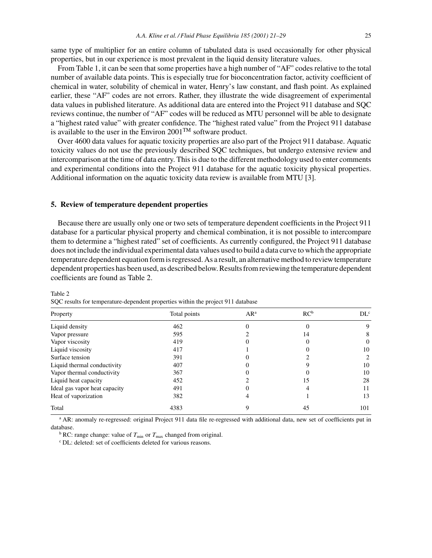same type of multiplier for an entire column of tabulated data is used occasionally for other physical properties, but in our experience is most prevalent in the liquid density literature values.

From Table 1, it can be seen that some properties have a high number of "AF" codes relative to the total number of available data points. This is especially true for bioconcentration factor, activity coefficient of chemical in water, solubility of chemical in water, Henry's law constant, and flash point. As explained earlier, these "AF" codes are not errors. Rather, they illustrate the wide disagreement of experimental data values in published literature. As additional data are entered into the Project 911 database and SQC reviews continue, the number of "AF" codes will be reduced as MTU personnel will be able to designate a "highest rated value" with greater confidence. The "highest rated value" from the Project 911 database is available to the user in the Environ  $2001^{TM}$  software product.

Over 4600 data values for aquatic toxicity properties are also part of the Project 911 database. Aquatic toxicity values do not use the previously described SQC techniques, but undergo extensive review and intercomparison at the time of data entry. This is due to the different methodology used to enter comments and experimental conditions into the Project 911 database for the aquatic toxicity physical properties. Additional information on the aquatic toxicity data review is available from MTU [3].

#### **5. Review of temperature dependent properties**

Because there are usually only one or two sets of temperature dependent coefficients in the Project 911 database for a particular physical property and chemical combination, it is not possible to intercompare them to determine a "highest rated" set of coefficients. As currently configured, the Project 911 database does not include the individual experimental data values used to build a data curve to which the appropriate temperature dependent equation form is regressed. As a result, an alternative method to review temperature dependent properties has been used, as described below. Results from reviewing the temperature dependent coefficients are found as Table 2.

| Property                      | Total points | $AR^a$ | $RC^b$ | DL <sup>c</sup> |
|-------------------------------|--------------|--------|--------|-----------------|
| Liquid density                | 462          |        | 0      | 9               |
| Vapor pressure                | 595          |        | 14     | 8               |
| Vapor viscosity               | 419          |        |        | $\theta$        |
| Liquid viscosity              | 417          |        |        | 10              |
| Surface tension               | 391          |        |        | $\mathfrak{D}$  |
| Liquid thermal conductivity   | 407          |        |        | 10              |
| Vapor thermal conductivity    | 367          |        |        | 10              |
| Liquid heat capacity          | 452          |        | 15     | 28              |
| Ideal gas vapor heat capacity | 491          |        |        | 11              |
| Heat of vaporization          | 382          |        |        | 13              |
| Total                         | 4383         |        | 45     | 101             |

Table 2

SQC results for temperature-dependent properties within the project 911 database

<sup>a</sup> AR: anomaly re-regressed: original Project 911 data file re-regressed with additional data, new set of coefficients put in database.

<sup>b</sup> RC: range change: value of  $T_{\text{min}}$  or  $T_{\text{max}}$  changed from original.

<sup>c</sup> DL: deleted: set of coefficients deleted for various reasons.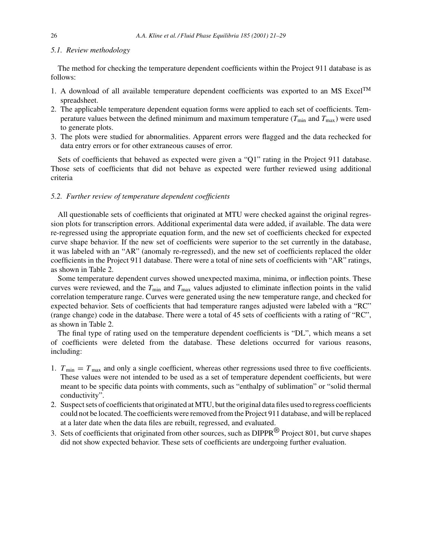#### *5.1. Review methodology*

The method for checking the temperature dependent coefficients within the Project 911 database is as follows:

- 1. A download of all available temperature dependent coefficients was exported to an MS Excel<sup>TM</sup> spreadsheet.
- 2. The applicable temperature dependent equation forms were applied to each set of coefficients. Temperature values between the defined minimum and maximum temperature  $(T_{min}$  and  $T_{max})$  were used to generate plots.
- 3. The plots were studied for abnormalities. Apparent errors were flagged and the data rechecked for data entry errors or for other extraneous causes of error.

Sets of coefficients that behaved as expected were given a "Q1" rating in the Project 911 database. Those sets of coefficients that did not behave as expected were further reviewed using additional criteria

# *5.2. Further review of temperature dependent coefficients*

All questionable sets of coefficients that originated at MTU were checked against the original regression plots for transcription errors. Additional experimental data were added, if available. The data were re-regressed using the appropriate equation form, and the new set of coefficients checked for expected curve shape behavior. If the new set of coefficients were superior to the set currently in the database, it was labeled with an "AR" (anomaly re-regressed), and the new set of coefficients replaced the older coefficients in the Project 911 database. There were a total of nine sets of coefficients with "AR" ratings, as shown in Table 2.

Some temperature dependent curves showed unexpected maxima, minima, or inflection points. These curves were reviewed, and the  $T_{\text{min}}$  and  $T_{\text{max}}$  values adjusted to eliminate inflection points in the valid correlation temperature range. Curves were generated using the new temperature range, and checked for expected behavior. Sets of coefficients that had temperature ranges adjusted were labeled with a "RC" (range change) code in the database. There were a total of 45 sets of coefficients with a rating of "RC", as shown in Table 2.

The final type of rating used on the temperature dependent coefficients is "DL", which means a set of coefficients were deleted from the database. These deletions occurred for various reasons, including:

- 1.  $T_{\text{min}} = T_{\text{max}}$  and only a single coefficient, whereas other regressions used three to five coefficients. These values were not intended to be used as a set of temperature dependent coefficients, but were meant to be specific data points with comments, such as "enthalpy of sublimation" or "solid thermal conductivity".
- 2. Suspect sets of coefficients that originated at MTU, but the original data files used to regress coefficients could not be located. The coefficients were removed from the Project 911 database, and will be replaced at a later date when the data files are rebuilt, regressed, and evaluated.
- 3. Sets of coefficients that originated from other sources, such as DIPPR® Project 801, but curve shapes did not show expected behavior. These sets of coefficients are undergoing further evaluation.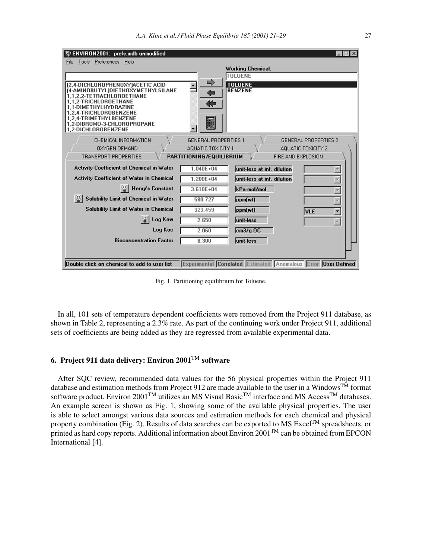| ENVIRON2001: prefs.mdb unmodified                                      |                             |                                                                | $\Box$ $\times$                    |
|------------------------------------------------------------------------|-----------------------------|----------------------------------------------------------------|------------------------------------|
| Tools Preferences Help<br>File                                         |                             |                                                                |                                    |
|                                                                        |                             | <b>Working Chemical:</b><br><b>TOLUENE</b>                     |                                    |
|                                                                        | $\Rightarrow$               | <b>TOLUENE</b>                                                 |                                    |
| (2,4-DICHLOROPHENOXY)ACETIC ACID<br>(4-AMINOBUTYL)DIETHOXYMETHYLSILANE |                             | <b>BENZENE</b>                                                 |                                    |
| 1.1.2.2-TETRACHLOROETHANE<br>1.1.2-TRICHLOROETHANE                     |                             |                                                                |                                    |
| 1.1-DIMETHYLHYDRAZINE                                                  |                             |                                                                |                                    |
| 1,2,4-TRICHLOROBENZENE<br>1.2.4-TRIMETHYLBENZENE                       |                             |                                                                |                                    |
| 1.2-DIBROMO-3-CHLOROPROPANE                                            |                             |                                                                |                                    |
| 1.2-DICHLOROBENZENE                                                    |                             |                                                                |                                    |
| CHEMICAL INFORMATION                                                   | <b>GENERAL PROPERTIES 1</b> |                                                                | <b>GENERAL PROPERTIES 2</b>        |
| <b>OXYGEN DEMAND</b>                                                   | AQUATIC TOXICITY 1          |                                                                | AQUATIC TOXICITY 2                 |
| TRANSPORT PROPERTIES                                                   | PARTITIONING/EQUILIBRIUM    |                                                                | FIRE AND EXPLOSION                 |
| Activity Coefficient of Chemical in Water                              | $1.040E + 04$               | unit-less at inf. dilution                                     |                                    |
| <b>Activity Coefficient of Water in Chemical</b>                       | $1.200E + 04$               | unit-less at inf. dilution                                     |                                    |
| <sup>2</sup> Henry's Constant                                          | $3.610E + 04$               | kPa·mol/mol                                                    |                                    |
| Solubility Limit of Chemical in Water                                  | 580.727                     | ppm(wt)                                                        |                                    |
| <b>Solubility Limit of Water in Chemical</b>                           | 323 459                     | ppm(wt)                                                        | <b>VLE</b><br>$\blacktriangledown$ |
| Log Kow                                                                | 2.650                       | unit-less                                                      | $\overline{\mathbf{v}}$            |
| Log Koc                                                                | 2.060                       | $cm3/q$ OC                                                     |                                    |
| <b>Bioconcentration Factor</b>                                         | 8.300                       | unit-less                                                      |                                    |
|                                                                        |                             |                                                                |                                    |
|                                                                        |                             |                                                                |                                    |
| Double click on chemical to add to user list                           |                             | Experimental Correlated Estimated Anomalous Error User Defined |                                    |

Fig. 1. Partitioning equilibrium for Toluene.

In all, 101 sets of temperature dependent coefficients were removed from the Project 911 database, as shown in Table 2, representing a 2.3% rate. As part of the continuing work under Project 911, additional sets of coefficients are being added as they are regressed from available experimental data.

# **6. Project 911 data delivery: Environ 2001**TM **software**

After SQC review, recommended data values for the 56 physical properties within the Project 911 database and estimation methods from Project 912 are made available to the user in a Windows<sup>TM</sup> format software product. Environ 2001<sup>TM</sup> utilizes an MS Visual Basic<sup>TM</sup> interface and MS Access<sup>TM</sup> databases. An example screen is shown as Fig. 1, showing some of the available physical properties. The user is able to select amongst various data sources and estimation methods for each chemical and physical property combination (Fig. 2). Results of data searches can be exported to MS Excel<sup>TM</sup> spreadsheets, or printed as hard copy reports. Additional information about Environ 2001<sup>TM</sup> can be obtained from EPCON International [4].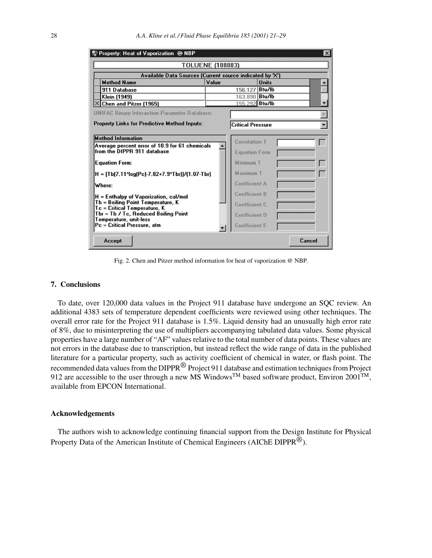| Property: Heat of Vaporization @ NBP                                                                       |       |                                  |              | $\vert x \vert$ |  |
|------------------------------------------------------------------------------------------------------------|-------|----------------------------------|--------------|-----------------|--|
| <b>TOLUENE (108883)</b>                                                                                    |       |                                  |              |                 |  |
| Available Data Sources (Current source indicated by "X")                                                   |       |                                  |              |                 |  |
| <b>Method Name</b>                                                                                         | Value |                                  | <b>Units</b> |                 |  |
| 911 Database                                                                                               |       | 156.127 Btu/lb                   |              |                 |  |
| Klein (1949)<br>X Chen and Pitzer (1965)                                                                   |       | 163.890 Btu/lb<br>155,292 Btu/lb |              |                 |  |
|                                                                                                            |       |                                  |              |                 |  |
| <b>UNIFAC Binary Interaction Parameter Database:</b>                                                       |       |                                  |              |                 |  |
| <b>Property Links for Predictive Method Inputs:</b>                                                        |       | <b>Critical Pressure</b>         |              |                 |  |
| <b>Method Information</b>                                                                                  |       |                                  |              |                 |  |
| Average percent error of 10.9 for 61 chemicals<br>from the DIPPR 911 database                              |       | <b>Correlation T</b>             |              |                 |  |
|                                                                                                            |       | <b>Equation Form</b>             |              |                 |  |
| <b>Equation Form:</b>                                                                                      |       | Minimum T                        |              |                 |  |
| H = [Tb[7.11*log(Pc)-7.82+7.9*Tbr)]/(1.07-Tbr)                                                             |       | <b>Maximum T</b>                 |              |                 |  |
| Where:                                                                                                     |       | <b>Coefficient A</b>             |              |                 |  |
| H = Enthalpy of Vaporization, cal/mol<br>Tb = Boiling Point Temperature, K<br>Tc = Critical Temperature, K |       | <b>Coefficient B</b>             |              |                 |  |
|                                                                                                            |       | <b>Coefficient C</b>             |              |                 |  |
| Tbr = Tb / Tc, Reduced Boiling Point<br>Temperature, unit-less                                             |       | <b>Coefficient D</b>             |              |                 |  |
| Pc = Critical Pressure, atm                                                                                |       | <b>Coefficient E</b>             |              |                 |  |
| Accept                                                                                                     |       |                                  |              | Cancel          |  |

Fig. 2. Chen and Pitzer method information for heat of vaporization @ NBP.

# **7. Conclusions**

To date, over 120,000 data values in the Project 911 database have undergone an SQC review. An additional 4383 sets of temperature dependent coefficients were reviewed using other techniques. The overall error rate for the Project 911 database is 1.5%. Liquid density had an unusually high error rate of 8%, due to misinterpreting the use of multipliers accompanying tabulated data values. Some physical properties have a large number of "AF" values relative to the total number of data points. These values are not errors in the database due to transcription, but instead reflect the wide range of data in the published literature for a particular property, such as activity coefficient of chemical in water, or flash point. The recommended data values from the DIPPR® Project 911 database and estimation techniques from Project 912 are accessible to the user through a new MS Windows<sup>TM</sup> based software product, Environ 2001<sup>TM</sup>, available from EPCON International.

#### **Acknowledgements**

The authors wish to acknowledge continuing financial support from the Design Institute for Physical Property Data of the American Institute of Chemical Engineers (AIChE DIPPR<sup>®</sup>).